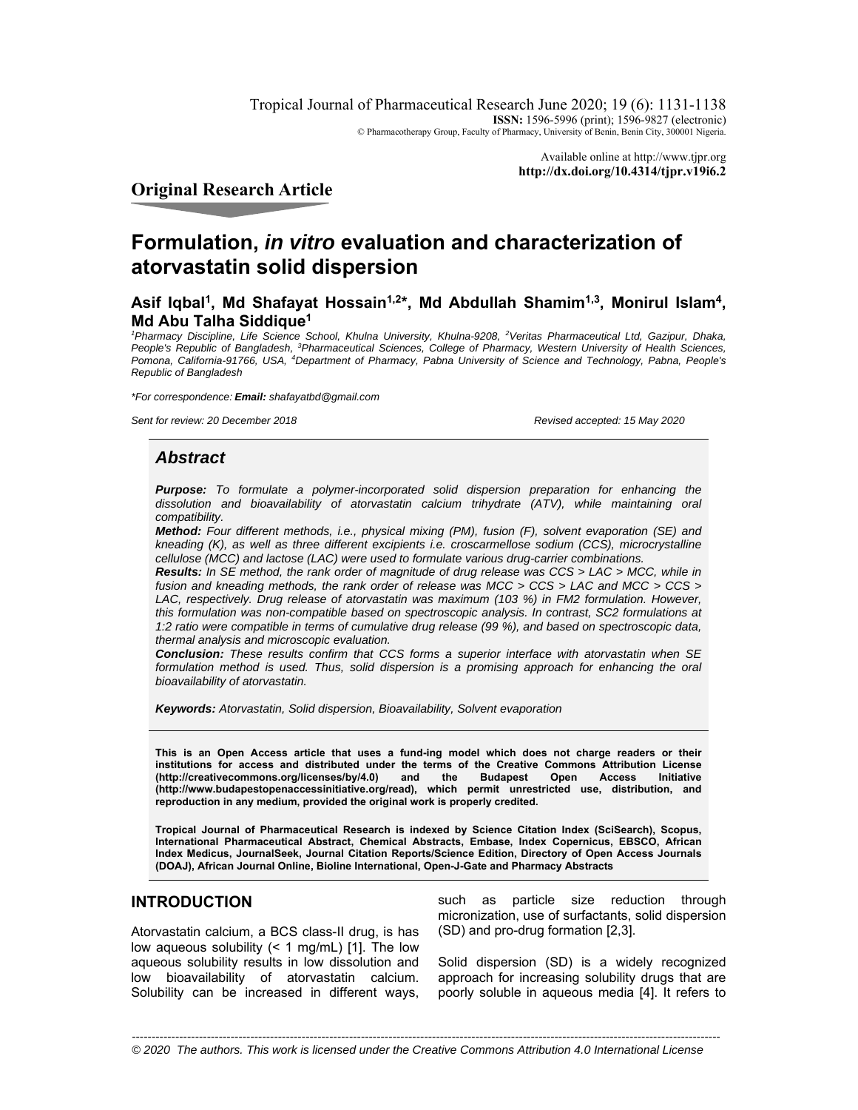Tropical Journal of Pharmaceutical Research June 2020; 19 (6): 1131-1138 **ISSN:** 1596-5996 (print); 1596-9827 (electronic) © Pharmacotherapy Group, Faculty of Pharmacy, University of Benin, Benin City, 300001 Nigeria.

> Available online at http://www.tjpr.org **http://dx.doi.org/10.4314/tjpr.v19i6.2**

**Original Research Article** 

# **Formulation,** *in vitro* **evaluation and characterization of atorvastatin solid dispersion**

# Asif Iqbal<sup>1</sup>, Md Shafayat Hossain<sup>1,2\*</sup>, Md Abdullah Shamim<sup>1,3</sup>, Monirul Islam<sup>4</sup>, **Md Abu Talha Siddique1**

<sup>1</sup> Pharmacy Discipline, Life Science School, Khulna University, Khulna-9208, <sup>2</sup> Veritas Pharmaceutical Ltd, Gazipur, Dhaka, People's Republic of Bangladesh, <sup>3</sup>Pharmaceutical Sciences, College of Pharmacy, Western University of Health Sciences, Pomona, California-91766, USA, <sup>4</sup>Department of Pharmacy, Pabna University of Science and Technology, Pabna, People's *Republic of Bangladesh* 

*\*For correspondence: Email: shafayatbd@gmail.com*

*Sent for review: 20 December 2018 Revised accepted: 15 May 2020*

### *Abstract*

*Purpose: To formulate a polymer-incorporated solid dispersion preparation for enhancing the dissolution and bioavailability of atorvastatin calcium trihydrate (ATV), while maintaining oral compatibility.* 

*Method: Four different methods, i.e., physical mixing (PM), fusion (F), solvent evaporation (SE) and kneading (K), as well as three different excipients i.e. croscarmellose sodium (CCS), microcrystalline cellulose (MCC) and lactose (LAC) were used to formulate various drug-carrier combinations.* 

*Results: In SE method, the rank order of magnitude of drug release was CCS > LAC > MCC, while in fusion and kneading methods, the rank order of release was MCC > CCS > LAC and MCC > CCS >*  LAC, respectively. Drug release of atorvastatin was maximum (103 %) in FM2 formulation. However, *this formulation was non-compatible based on spectroscopic analysis. In contrast, SC2 formulations at 1:2 ratio were compatible in terms of cumulative drug release (99 %), and based on spectroscopic data, thermal analysis and microscopic evaluation.* 

*Conclusion: These results confirm that CCS forms a superior interface with atorvastatin when SE formulation method is used. Thus, solid dispersion is a promising approach for enhancing the oral bioavailability of atorvastatin.* 

*Keywords: Atorvastatin, Solid dispersion, Bioavailability, Solvent evaporation* 

**This is an Open Access article that uses a fund-ing model which does not charge readers or their institutions for access and distributed under the terms of the Creative Commons Attribution License**  (http://creativecommons.org/licenses/by/4.0) **(http://www.budapestopenaccessinitiative.org/read), which permit unrestricted use, distribution, and reproduction in any medium, provided the original work is properly credited.** 

**Tropical Journal of Pharmaceutical Research is indexed by Science Citation Index (SciSearch), Scopus, International Pharmaceutical Abstract, Chemical Abstracts, Embase, Index Copernicus, EBSCO, African Index Medicus, JournalSeek, Journal Citation Reports/Science Edition, Directory of Open Access Journals (DOAJ), African Journal Online, Bioline International, Open-J-Gate and Pharmacy Abstracts** 

# **INTRODUCTION**

Atorvastatin calcium, a BCS class-II drug, is has low aqueous solubility (< 1 mg/mL) [1]. The low aqueous solubility results in low dissolution and low bioavailability of atorvastatin calcium. Solubility can be increased in different ways, such as particle size reduction through micronization, use of surfactants, solid dispersion (SD) and pro-drug formation [2,3].

Solid dispersion (SD) is a widely recognized approach for increasing solubility drugs that are poorly soluble in aqueous media [4]. It refers to

*Trop J Pharm Res, June 2020; 19(6):* 1131 *© 2020 The authors. This work is licensed under the Creative Commons Attribution 4.0 International License-----------------------------------------------------------------------------------------------------------------------------------------------------*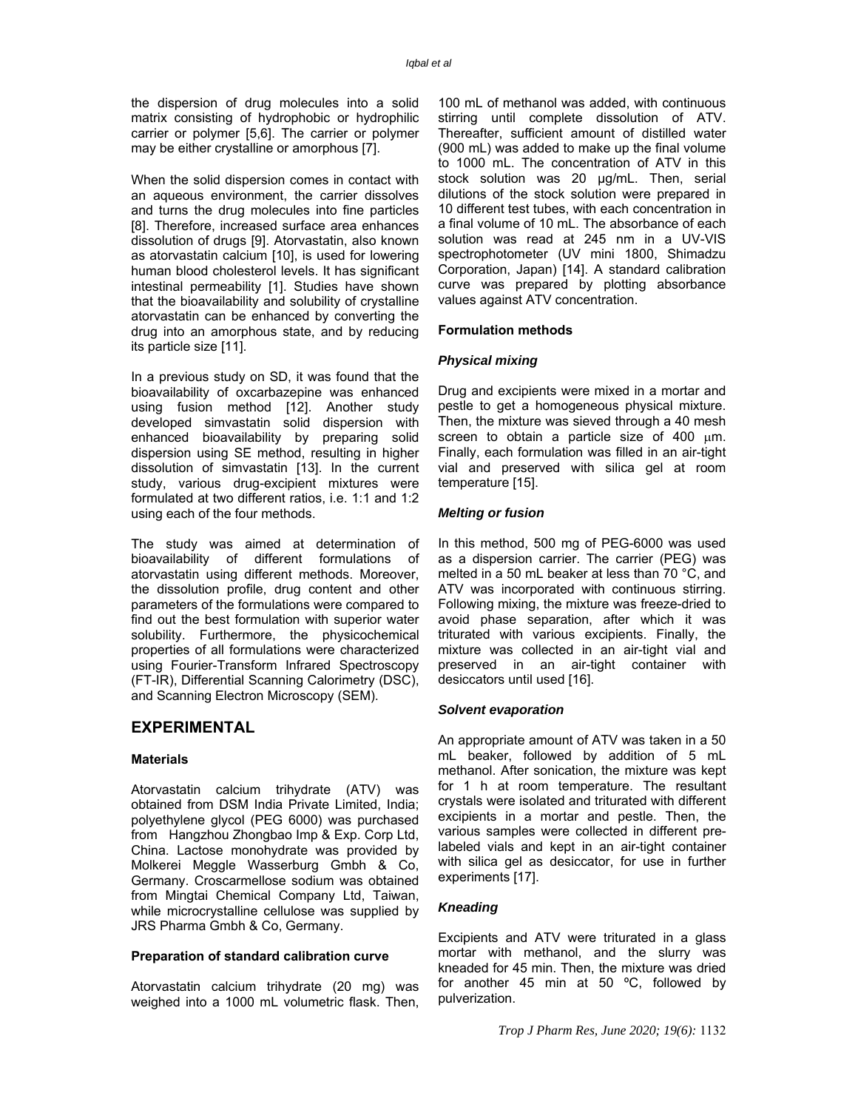the dispersion of drug molecules into a solid matrix consisting of hydrophobic or hydrophilic carrier or polymer [5,6]. The carrier or polymer may be either crystalline or amorphous [7].

When the solid dispersion comes in contact with an aqueous environment, the carrier dissolves and turns the drug molecules into fine particles [8]. Therefore, increased surface area enhances dissolution of drugs [9]. Atorvastatin, also known as atorvastatin calcium [10], is used for lowering human blood cholesterol levels. It has significant intestinal permeability [1]. Studies have shown that the bioavailability and solubility of crystalline atorvastatin can be enhanced by converting the drug into an amorphous state, and by reducing its particle size [11].

In a previous study on SD, it was found that the bioavailability of oxcarbazepine was enhanced using fusion method [12]. Another study developed simvastatin solid dispersion with enhanced bioavailability by preparing solid dispersion using SE method, resulting in higher dissolution of simvastatin [13]. In the current study, various drug-excipient mixtures were formulated at two different ratios, i.e. 1:1 and 1:2 using each of the four methods.

The study was aimed at determination of bioavailability of different formulations of atorvastatin using different methods. Moreover, the dissolution profile, drug content and other parameters of the formulations were compared to find out the best formulation with superior water solubility. Furthermore, the physicochemical properties of all formulations were characterized using Fourier-Transform Infrared Spectroscopy (FT-IR), Differential Scanning Calorimetry (DSC), and Scanning Electron Microscopy (SEM).

## **EXPERIMENTAL**

#### **Materials**

Atorvastatin calcium trihydrate (ATV) was obtained from DSM India Private Limited, India; polyethylene glycol (PEG 6000) was purchased from Hangzhou Zhongbao Imp & Exp. Corp Ltd, China. Lactose monohydrate was provided by Molkerei Meggle Wasserburg Gmbh & Co, Germany. Croscarmellose sodium was obtained from Mingtai Chemical Company Ltd, Taiwan, while microcrystalline cellulose was supplied by JRS Pharma Gmbh & Co, Germany.

#### **Preparation of standard calibration curve**

Atorvastatin calcium trihydrate (20 mg) was weighed into a 1000 mL volumetric flask. Then, 100 mL of methanol was added, with continuous stirring until complete dissolution of ATV. Thereafter, sufficient amount of distilled water (900 mL) was added to make up the final volume to 1000 mL. The concentration of ATV in this stock solution was 20 µg/mL. Then, serial dilutions of the stock solution were prepared in 10 different test tubes, with each concentration in a final volume of 10 mL. The absorbance of each solution was read at 245 nm in a UV-VIS spectrophotometer (UV mini 1800, Shimadzu Corporation, Japan) [14]. A standard calibration curve was prepared by plotting absorbance values against ATV concentration.

#### **Formulation methods**

#### *Physical mixing*

Drug and excipients were mixed in a mortar and pestle to get a homogeneous physical mixture. Then, the mixture was sieved through a 40 mesh screen to obtain a particle size of 400  $\mu$ m. Finally, each formulation was filled in an air-tight vial and preserved with silica gel at room temperature [15].

#### *Melting or fusion*

In this method, 500 mg of PEG-6000 was used as a dispersion carrier. The carrier (PEG) was melted in a 50 mL beaker at less than 70 °C, and ATV was incorporated with continuous stirring. Following mixing, the mixture was freeze-dried to avoid phase separation, after which it was triturated with various excipients. Finally, the mixture was collected in an air-tight vial and preserved in an air-tight container with desiccators until used [16].

#### *Solvent evaporation*

An appropriate amount of ATV was taken in a 50 mL beaker, followed by addition of 5 mL methanol. After sonication, the mixture was kept for 1 h at room temperature. The resultant crystals were isolated and triturated with different excipients in a mortar and pestle. Then, the various samples were collected in different prelabeled vials and kept in an air-tight container with silica gel as desiccator, for use in further experiments [17].

### *Kneading*

Excipients and ATV were triturated in a glass mortar with methanol, and the slurry was kneaded for 45 min. Then, the mixture was dried for another 45 min at 50 ºC, followed by pulverization.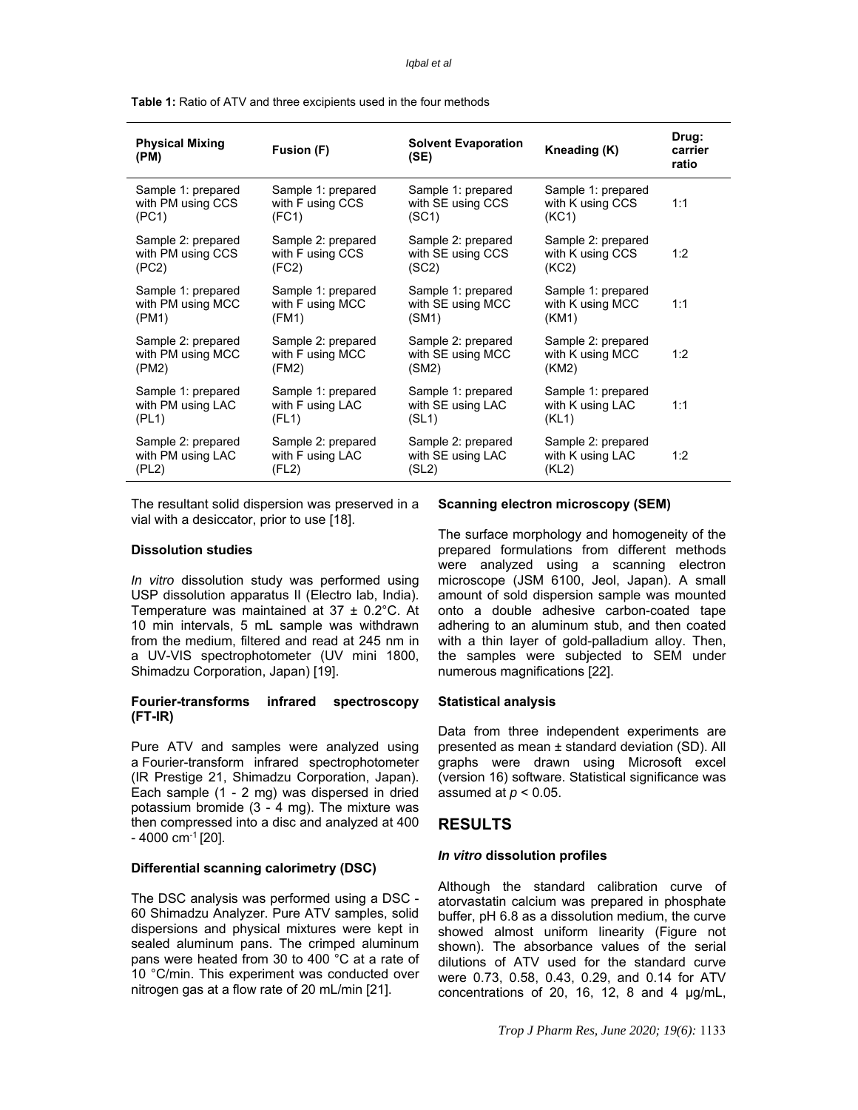#### *Iqbal et al*

**Table 1:** Ratio of ATV and three excipients used in the four methods

| <b>Physical Mixing</b><br>(PM) | Fusion (F)         | <b>Solvent Evaporation</b><br>(SE) | Kneading (K)       | Drug:<br>carrier<br>ratio |
|--------------------------------|--------------------|------------------------------------|--------------------|---------------------------|
| Sample 1: prepared             | Sample 1: prepared | Sample 1: prepared                 | Sample 1: prepared | 1:1                       |
| with PM using CCS              | with F using CCS   | with SE using CCS                  | with K using CCS   |                           |
| (PC1)                          | (FC1)              | (SC1)                              | (KC1)              |                           |
| Sample 2: prepared             | Sample 2: prepared | Sample 2: prepared                 | Sample 2: prepared | 1:2                       |
| with PM using CCS              | with F using CCS   | with SE using CCS                  | with K using CCS   |                           |
| (PC2)                          | (FC2)              | (SC2)                              | (KC2)              |                           |
| Sample 1: prepared             | Sample 1: prepared | Sample 1: prepared                 | Sample 1: prepared | 1:1                       |
| with PM using MCC              | with F using MCC   | with SE using MCC                  | with K using MCC   |                           |
| (PM1)                          | (FM1)              | (SM1)                              | (KM1)              |                           |
| Sample 2: prepared             | Sample 2: prepared | Sample 2: prepared                 | Sample 2: prepared | 1:2                       |
| with PM using MCC              | with F using MCC   | with SE using MCC                  | with K using MCC   |                           |
| (PM2)                          | (FM2)              | (SM2)                              | (KM2)              |                           |
| Sample 1: prepared             | Sample 1: prepared | Sample 1: prepared                 | Sample 1: prepared | 1:1                       |
| with PM using LAC              | with F using LAC   | with SE using LAC                  | with K using LAC   |                           |
| (PL1)                          | (FL1)              | (SL1)                              | (KL1)              |                           |
| Sample 2: prepared             | Sample 2: prepared | Sample 2: prepared                 | Sample 2: prepared | 1:2                       |
| with PM using LAC              | with F using LAC   | with SE using LAC                  | with K using LAC   |                           |
| (PL2)                          | (FL2)              | (SL2)                              | (KL2)              |                           |

The resultant solid dispersion was preserved in a vial with a desiccator, prior to use [18].

#### **Dissolution studies**

*In vitro* dissolution study was performed using USP dissolution apparatus II (Electro lab, India). Temperature was maintained at 37 ± 0.2°C. At 10 min intervals, 5 mL sample was withdrawn from the medium, filtered and read at 245 nm in a UV-VIS spectrophotometer (UV mini 1800, Shimadzu Corporation, Japan) [19].

### **Fourier-transforms infrared spectroscopy (FT-IR)**

Pure ATV and samples were analyzed using a Fourier-transform infrared spectrophotometer (IR Prestige 21, Shimadzu Corporation, Japan). Each sample (1 - 2 mg) was dispersed in dried potassium bromide (3 - 4 mg). The mixture was then compressed into a disc and analyzed at 400  $-$  4000 cm<sup>-1</sup> [20].

### **Differential scanning calorimetry (DSC)**

The DSC analysis was performed using a DSC - 60 Shimadzu Analyzer. Pure ATV samples, solid dispersions and physical mixtures were kept in sealed aluminum pans. The crimped aluminum pans were heated from 30 to 400 °C at a rate of 10 °C/min. This experiment was conducted over nitrogen gas at a flow rate of 20 mL/min [21].

#### **Scanning electron microscopy (SEM)**

The surface morphology and homogeneity of the prepared formulations from different methods were analyzed using a scanning electron microscope (JSM 6100, Jeol, Japan). A small amount of sold dispersion sample was mounted onto a double adhesive carbon-coated tape adhering to an aluminum stub, and then coated with a thin layer of gold-palladium alloy. Then, the samples were subjected to SEM under numerous magnifications [22].

#### **Statistical analysis**

Data from three independent experiments are presented as mean ± standard deviation (SD). All graphs were drawn using Microsoft excel (version 16) software. Statistical significance was assumed at  $p < 0.05$ .

### **RESULTS**

#### *In vitro* **dissolution profiles**

Although the standard calibration curve of atorvastatin calcium was prepared in phosphate buffer, pH 6.8 as a dissolution medium, the curve showed almost uniform linearity (Figure not shown). The absorbance values of the serial dilutions of ATV used for the standard curve were 0.73, 0.58, 0.43, 0.29, and 0.14 for ATV concentrations of 20, 16, 12, 8 and 4 µg/mL,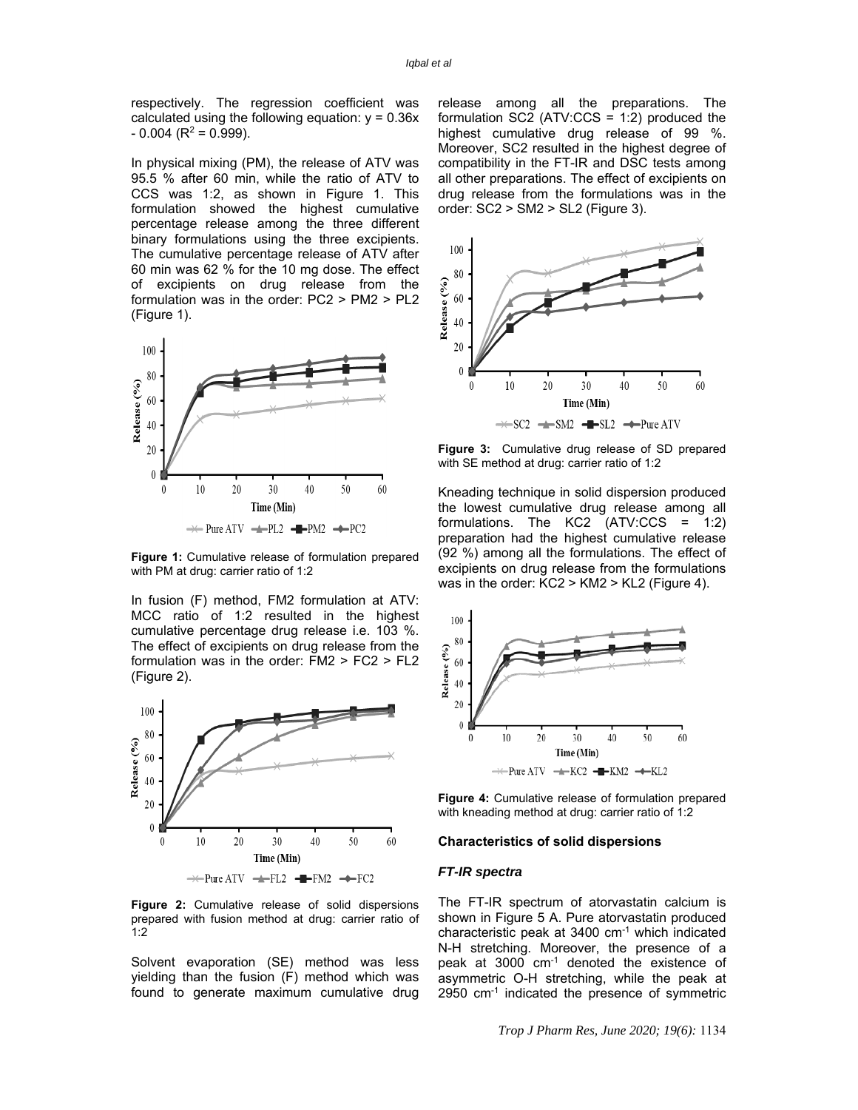respectively. The regression coefficient was calculated using the following equation:  $y = 0.36x$  $-0.004$  (R<sup>2</sup> = 0.999).

In physical mixing (PM), the release of ATV was 95.5 % after 60 min, while the ratio of ATV to CCS was 1:2, as shown in Figure 1. This formulation showed the highest cumulative percentage release among the three different binary formulations using the three excipients. The cumulative percentage release of ATV after 60 min was 62 % for the 10 mg dose. The effect of excipients on drug release from the formulation was in the order: PC2 > PM2 > PL2 (Figure 1).



**Figure 1:** Cumulative release of formulation prepared with PM at drug: carrier ratio of 1:2

In fusion (F) method, FM2 formulation at ATV: MCC ratio of 1:2 resulted in the highest cumulative percentage drug release i.e. 103 %. The effect of excipients on drug release from the formulation was in the order: FM2 > FC2 > FL2 (Figure 2).



**Figure 2:** Cumulative release of solid dispersions prepared with fusion method at drug: carrier ratio of 1:2

Solvent evaporation (SE) method was less yielding than the fusion (F) method which was found to generate maximum cumulative drug release among all the preparations. The formulation  $SC2$  (ATV:CCS = 1:2) produced the highest cumulative drug release of 99 %. Moreover, SC2 resulted in the highest degree of compatibility in the FT-IR and DSC tests among all other preparations. The effect of excipients on drug release from the formulations was in the order: SC2 > SM2 > SL2 (Figure 3).



**Figure 3:** Cumulative drug release of SD prepared with SE method at drug: carrier ratio of 1:2

Kneading technique in solid dispersion produced the lowest cumulative drug release among all formulations. The KC2 (ATV:CCS = 1:2) preparation had the highest cumulative release (92 %) among all the formulations. The effect of excipients on drug release from the formulations was in the order: KC2 > KM2 > KL2 (Figure 4).



**Figure 4:** Cumulative release of formulation prepared with kneading method at drug: carrier ratio of 1:2

#### **Characteristics of solid dispersions**

#### *FT-IR spectra*

The FT-IR spectrum of atorvastatin calcium is shown in Figure 5 A. Pure atorvastatin produced characteristic peak at 3400 cm-1 which indicated N-H stretching. Moreover, the presence of a peak at 3000 cm-1 denoted the existence of asymmetric O-H stretching, while the peak at 2950 cm-1 indicated the presence of symmetric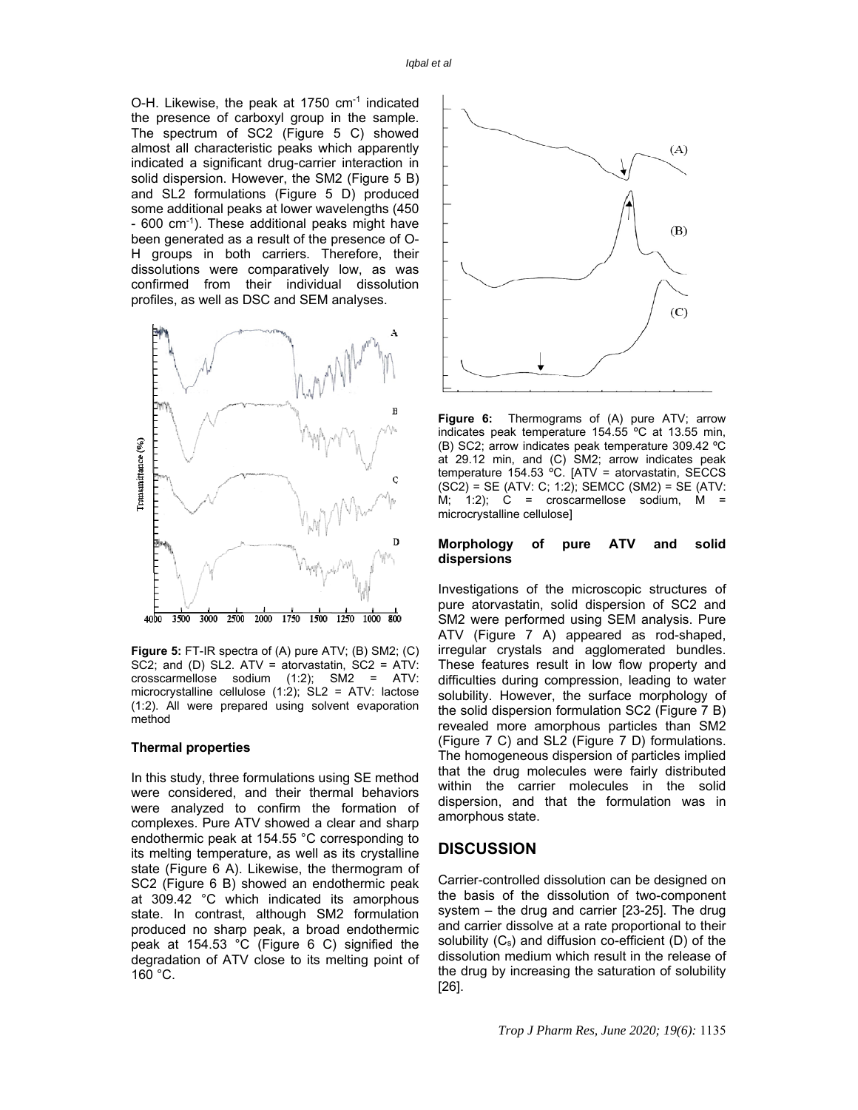O-H. Likewise, the peak at 1750 cm-1 indicated the presence of carboxyl group in the sample. The spectrum of SC2 (Figure 5 C) showed almost all characteristic peaks which apparently indicated a significant drug-carrier interaction in solid dispersion. However, the SM2 (Figure 5 B) and SL2 formulations (Figure 5 D) produced some additional peaks at lower wavelengths (450 - 600 cm-1). These additional peaks might have been generated as a result of the presence of O-H groups in both carriers. Therefore, their dissolutions were comparatively low, as was confirmed from their individual dissolution profiles, as well as DSC and SEM analyses.



**Figure 5:** FT-IR spectra of (A) pure ATV; (B) SM2; (C) SC2; and (D) SL2. ATV = atorvastatin, SC2 = ATV: crosscarmellose sodium (1:2); SM2 = ATV: microcrystalline cellulose  $(1:2)$ ; SL2 = ATV: lactose (1:2). All were prepared using solvent evaporation method

#### **Thermal properties**

In this study, three formulations using SE method were considered, and their thermal behaviors were analyzed to confirm the formation of complexes. Pure ATV showed a clear and sharp endothermic peak at 154.55 °C corresponding to its melting temperature, as well as its crystalline state (Figure 6 A). Likewise, the thermogram of SC2 (Figure 6 B) showed an endothermic peak at 309.42 °C which indicated its amorphous state. In contrast, although SM2 formulation produced no sharp peak, a broad endothermic peak at 154.53 °C (Figure 6 C) signified the degradation of ATV close to its melting point of 160 °C.



**Figure 6:** Thermograms of (A) pure ATV; arrow indicates peak temperature 154.55 ºC at 13.55 min, (B) SC2; arrow indicates peak temperature 309.42 ºC at 29.12 min, and (C) SM2; arrow indicates peak temperature 154.53 ºC. [ATV = atorvastatin, SECCS  $(SC2) = SE (ATV: C; 1:2)$ ; SEMCC  $(SM2) = SE (ATV: C; 1:2)$ M; 1:2);  $C =$  croscarmellose sodium,  $M =$ microcrystalline cellulose]

#### **Morphology of pure ATV and solid dispersions**

Investigations of the microscopic structures of pure atorvastatin, solid dispersion of SC2 and SM2 were performed using SEM analysis. Pure ATV (Figure 7 A) appeared as rod-shaped, irregular crystals and agglomerated bundles. These features result in low flow property and difficulties during compression, leading to water solubility. However, the surface morphology of the solid dispersion formulation SC2 (Figure 7 B) revealed more amorphous particles than SM2 (Figure 7 C) and SL2 (Figure 7 D) formulations. The homogeneous dispersion of particles implied that the drug molecules were fairly distributed within the carrier molecules in the solid dispersion, and that the formulation was in amorphous state.

### **DISCUSSION**

Carrier-controlled dissolution can be designed on the basis of the dissolution of two-component system – the drug and carrier [23-25]. The drug and carrier dissolve at a rate proportional to their solubility  $(C_s)$  and diffusion co-efficient  $(D)$  of the dissolution medium which result in the release of the drug by increasing the saturation of solubility [26].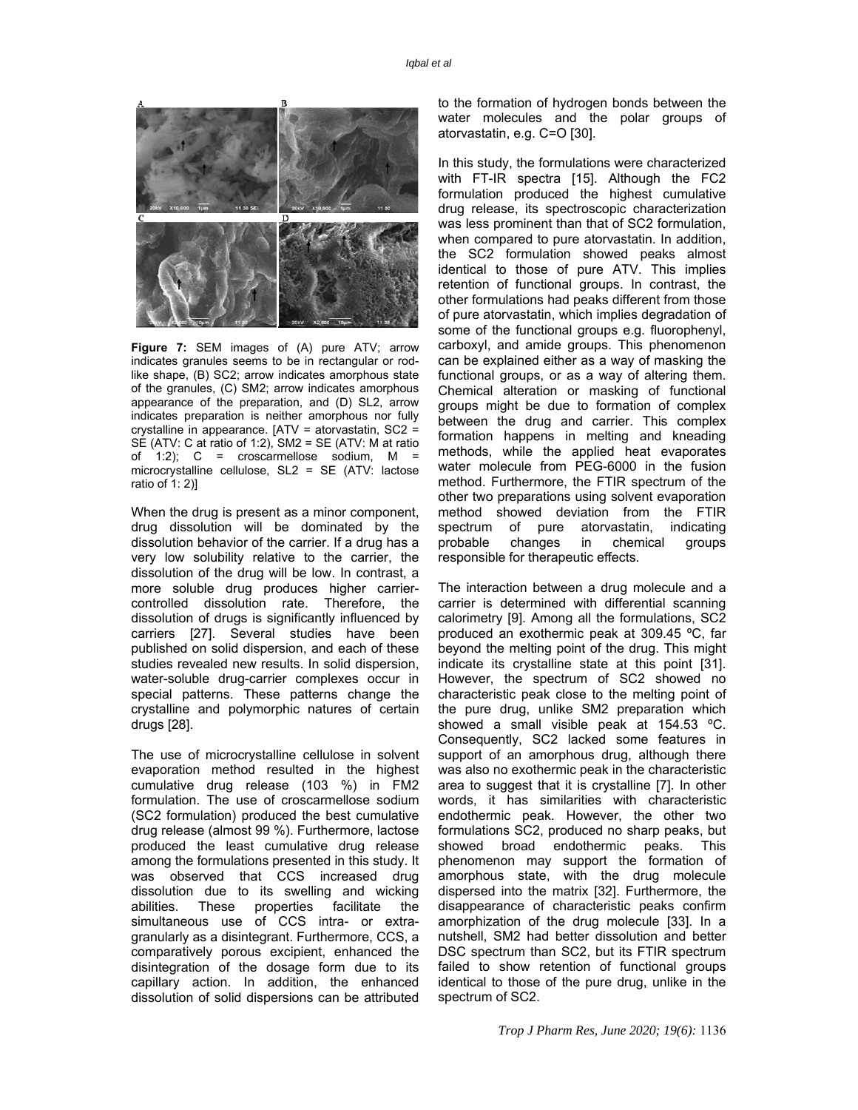

**Figure 7:** SEM images of (A) pure ATV; arrow indicates granules seems to be in rectangular or rodlike shape, (B) SC2; arrow indicates amorphous state of the granules, (C) SM2; arrow indicates amorphous appearance of the preparation, and (D) SL2, arrow indicates preparation is neither amorphous nor fully crystalline in appearance. [ATV = atorvastatin, SC2 = SE (ATV: C at ratio of 1:2), SM2 = SE (ATV: M at ratio of 1:2);  $C =$  croscarmellose sodium,  $M =$ microcrystalline cellulose, SL2 = SE (ATV: lactose ratio of 1: 2)]

When the drug is present as a minor component, drug dissolution will be dominated by the dissolution behavior of the carrier. If a drug has a very low solubility relative to the carrier, the dissolution of the drug will be low. In contrast, a more soluble drug produces higher carriercontrolled dissolution rate. Therefore, the dissolution of drugs is significantly influenced by carriers [27]. Several studies have been published on solid dispersion, and each of these studies revealed new results. In solid dispersion, water-soluble drug-carrier complexes occur in special patterns. These patterns change the crystalline and polymorphic natures of certain drugs [28].

The use of microcrystalline cellulose in solvent evaporation method resulted in the highest cumulative drug release (103 %) in FM2 formulation. The use of croscarmellose sodium (SC2 formulation) produced the best cumulative drug release (almost 99 %). Furthermore, lactose produced the least cumulative drug release among the formulations presented in this study. It was observed that CCS increased drug dissolution due to its swelling and wicking abilities. These properties facilitate the simultaneous use of CCS intra- or extragranularly as a disintegrant. Furthermore, CCS, a comparatively porous excipient, enhanced the disintegration of the dosage form due to its capillary action. In addition, the enhanced dissolution of solid dispersions can be attributed to the formation of hydrogen bonds between the water molecules and the polar groups of atorvastatin, e.g. C=O [30].

In this study, the formulations were characterized with FT-IR spectra [15]. Although the FC2 formulation produced the highest cumulative drug release, its spectroscopic characterization was less prominent than that of SC2 formulation, when compared to pure atorvastatin. In addition, the SC2 formulation showed peaks almost identical to those of pure ATV. This implies retention of functional groups. In contrast, the other formulations had peaks different from those of pure atorvastatin, which implies degradation of some of the functional groups e.g. fluorophenyl, carboxyl, and amide groups. This phenomenon can be explained either as a way of masking the functional groups, or as a way of altering them. Chemical alteration or masking of functional groups might be due to formation of complex between the drug and carrier. This complex formation happens in melting and kneading methods, while the applied heat evaporates water molecule from PEG-6000 in the fusion method. Furthermore, the FTIR spectrum of the other two preparations using solvent evaporation method showed deviation from the FTIR spectrum of pure atorvastatin, indicating probable changes in chemical groups responsible for therapeutic effects.

The interaction between a drug molecule and a carrier is determined with differential scanning calorimetry [9]. Among all the formulations, SC2 produced an exothermic peak at 309.45 ºC, far beyond the melting point of the drug. This might indicate its crystalline state at this point [31]. However, the spectrum of SC2 showed no characteristic peak close to the melting point of the pure drug, unlike SM2 preparation which showed a small visible peak at 154.53 ºC. Consequently, SC2 lacked some features in support of an amorphous drug, although there was also no exothermic peak in the characteristic area to suggest that it is crystalline [7]. In other words, it has similarities with characteristic endothermic peak. However, the other two formulations SC2, produced no sharp peaks, but showed broad endothermic peaks. This phenomenon may support the formation of amorphous state, with the drug molecule dispersed into the matrix [32]. Furthermore, the disappearance of characteristic peaks confirm amorphization of the drug molecule [33]. In a nutshell, SM2 had better dissolution and better DSC spectrum than SC2, but its FTIR spectrum failed to show retention of functional groups identical to those of the pure drug, unlike in the spectrum of SC2.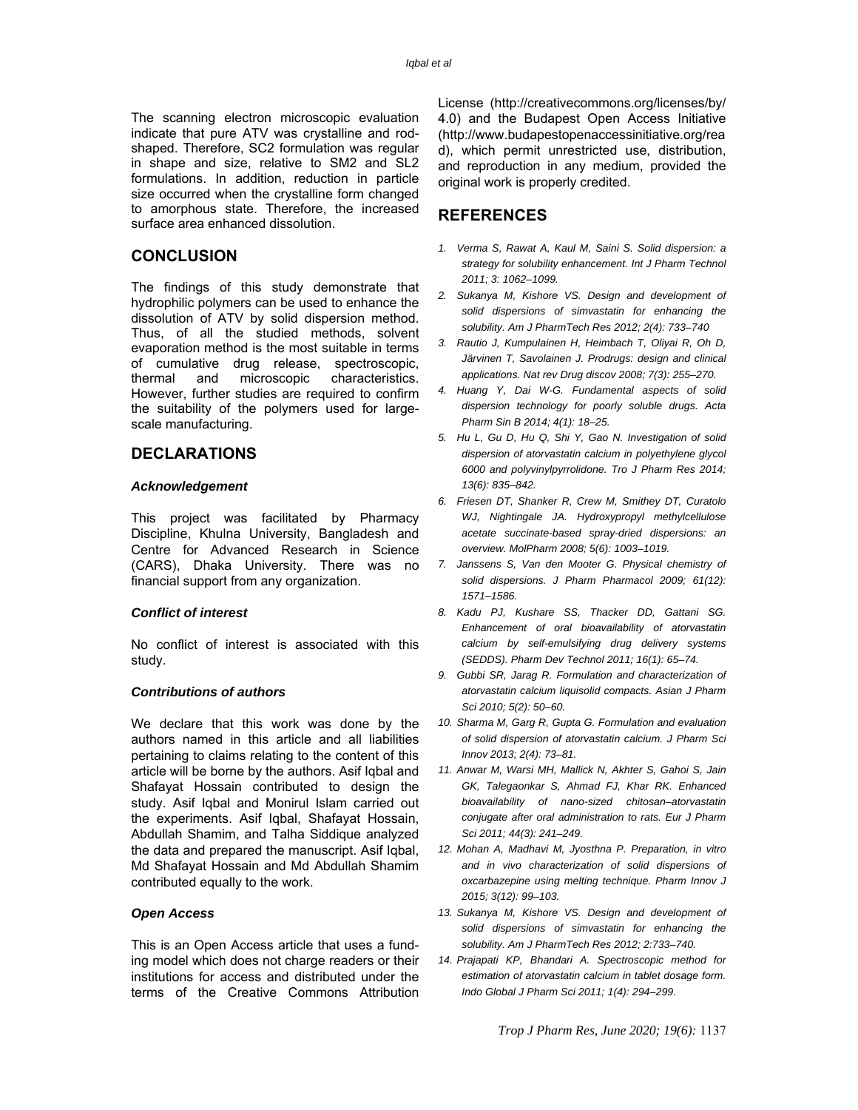The scanning electron microscopic evaluation indicate that pure ATV was crystalline and rodshaped. Therefore, SC2 formulation was regular in shape and size, relative to SM2 and SL2 formulations. In addition, reduction in particle size occurred when the crystalline form changed to amorphous state. Therefore, the increased surface area enhanced dissolution.

# **CONCLUSION**

The findings of this study demonstrate that hydrophilic polymers can be used to enhance the dissolution of ATV by solid dispersion method. Thus, of all the studied methods, solvent evaporation method is the most suitable in terms of cumulative drug release, spectroscopic, thermal and microscopic characteristics. However, further studies are required to confirm the suitability of the polymers used for largescale manufacturing.

# **DECLARATIONS**

#### *Acknowledgement*

This project was facilitated by Pharmacy Discipline, Khulna University, Bangladesh and Centre for Advanced Research in Science (CARS), Dhaka University. There was no financial support from any organization.

#### *Conflict of interest*

No conflict of interest is associated with this study.

### *Contributions of authors*

We declare that this work was done by the authors named in this article and all liabilities pertaining to claims relating to the content of this article will be borne by the authors. Asif Iqbal and Shafayat Hossain contributed to design the study. Asif Iqbal and Monirul Islam carried out the experiments. Asif Iqbal, Shafayat Hossain, Abdullah Shamim, and Talha Siddique analyzed the data and prepared the manuscript. Asif Iqbal, Md Shafayat Hossain and Md Abdullah Shamim contributed equally to the work.

#### *Open Access*

This is an Open Access article that uses a funding model which does not charge readers or their institutions for access and distributed under the terms of the Creative Commons Attribution

License (http://creativecommons.org/licenses/by/ 4.0) and the Budapest Open Access Initiative (http://www.budapestopenaccessinitiative.org/rea d), which permit unrestricted use, distribution, and reproduction in any medium, provided the original work is properly credited.

# **REFERENCES**

- *1. Verma S, Rawat A, Kaul M, Saini S. Solid dispersion: a strategy for solubility enhancement. Int J Pharm Technol 2011; 3: 1062–1099.*
- *2. Sukanya M, Kishore VS. Design and development of solid dispersions of simvastatin for enhancing the solubility. Am J PharmTech Res 2012; 2(4): 733–740*
- *3. Rautio J, Kumpulainen H, Heimbach T, Oliyai R, Oh D, Järvinen T, Savolainen J. Prodrugs: design and clinical applications. Nat rev Drug discov 2008; 7(3): 255–270.*
- *4. Huang Y, Dai W-G. Fundamental aspects of solid dispersion technology for poorly soluble drugs. Acta Pharm Sin B 2014; 4(1): 18–25.*
- *5. Hu L, Gu D, Hu Q, Shi Y, Gao N. Investigation of solid dispersion of atorvastatin calcium in polyethylene glycol 6000 and polyvinylpyrrolidone. Tro J Pharm Res 2014; 13(6): 835–842.*
- *6. Friesen DT, Shanker R, Crew M, Smithey DT, Curatolo WJ, Nightingale JA. Hydroxypropyl methylcellulose acetate succinate-based spray-dried dispersions: an overview. MolPharm 2008; 5(6): 1003–1019.*
- *7. Janssens S, Van den Mooter G. Physical chemistry of solid dispersions. J Pharm Pharmacol 2009; 61(12): 1571–1586.*
- *8. Kadu PJ, Kushare SS, Thacker DD, Gattani SG. Enhancement of oral bioavailability of atorvastatin calcium by self-emulsifying drug delivery systems (SEDDS). Pharm Dev Technol 2011; 16(1): 65–74.*
- *9. Gubbi SR, Jarag R. Formulation and characterization of atorvastatin calcium liquisolid compacts. Asian J Pharm Sci 2010; 5(2): 50–60.*
- *10. Sharma M, Garg R, Gupta G. Formulation and evaluation of solid dispersion of atorvastatin calcium. J Pharm Sci Innov 2013; 2(4): 73–81.*
- *11. Anwar M, Warsi MH, Mallick N, Akhter S, Gahoi S, Jain GK, Talegaonkar S, Ahmad FJ, Khar RK. Enhanced bioavailability of nano-sized chitosan–atorvastatin conjugate after oral administration to rats. Eur J Pharm Sci 2011; 44(3): 241–249.*
- *12. Mohan A, Madhavi M, Jyosthna P. Preparation, in vitro and in vivo characterization of solid dispersions of oxcarbazepine using melting technique. Pharm Innov J 2015; 3(12): 99–103.*
- *13. Sukanya M, Kishore VS. Design and development of solid dispersions of simvastatin for enhancing the solubility. Am J PharmTech Res 2012; 2:733–740.*
- *14. Prajapati KP, Bhandari A. Spectroscopic method for estimation of atorvastatin calcium in tablet dosage form. Indo Global J Pharm Sci 2011; 1(4): 294–299.*